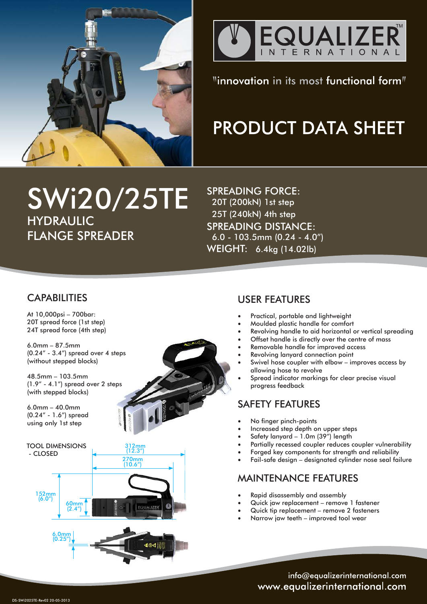



# "innovation in its most functional form"

# **PRODUCT DATA SHEET**

# SWi20/25TE HYDRAULIC FLANGE SPREADER

SPREADING FORCE: 20T (200kN) 1st step 25T (240kN) 4th step SPREADING DISTANCE: 6.0 - 103.5mm (0.24 - 4.0") WEIGHT: 6.4kg (14.02lb)

# **CAPABILITIES**

At 10,000psi – 700bar: 20T spread force (1st step) 24T spread force (4th step)

6.0mm – 87.5mm (0.24" - 3.4") spread over 4 steps (without stepped blocks)

48.5mm – 103.5mm (1.9" - 4.1") spread over 2 steps (with stepped blocks)

6.0mm – 40.0mm (0.24" - 1.6") spread using only 1st step



### USER FEATURES

- Practical, portable and lightweight
- Moulded plastic handle for comfort
- Revolving handle to aid horizontal or vertical spreading
- Offset handle is directly over the centre of mass
- Removable handle for improved access
- Revolving lanyard connection point
- Swivel hose coupler with elbow improves access by allowing hose to revolve
- Spread indicator markings for clear precise visual progress feedback

# SAFETY FEATURES

- No finger pinch-points
- Increased step depth on upper steps
- Safety lanyard  $-1.0$ m (39") length
- Partially recessed coupler reduces coupler vulnerability
- Forged key components for strength and reliability
- Fail-safe design designated cylinder nose seal failure

# MAINTENANCE FEATURES

- Rapid disassembly and assembly
- Quick jaw replacement remove 1 fastener
- Quick tip replacement remove 2 fasteners
- Narrow jaw teeth improved tool wear

info@equalizerinternational.com www.equalizerinternational.com